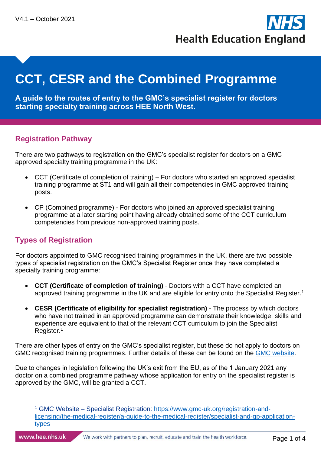**Health Education England** 

# **CCT, CESR and the Combined Programme**

**A guide to the routes of entry to the GMC's specialist register for doctors starting specialty training across HEE North West.**

#### **Registration Pathway**

There are two pathways to registration on the GMC's specialist register for doctors on a GMC approved specialty training programme in the UK:

- CCT (Certificate of completion of training) For doctors who started an approved specialist training programme at ST1 and will gain all their competencies in GMC approved training posts.
- CP (Combined programme) For doctors who joined an approved specialist training programme at a later starting point having already obtained some of the CCT curriculum competencies from previous non-approved training posts.

## **Types of Registration**

For doctors appointed to GMC recognised training programmes in the UK, there are two possible types of specialist registration on the GMC's Specialist Register once they have completed a specialty training programme:

- <span id="page-0-0"></span>• **CCT (Certificate of completion of training)** - Doctors with a CCT have completed an approved training programme in the UK and are eligible for entry onto the Specialist Register.<sup>1</sup>
- **CESR (Certificate of eligibility for specialist registration)** The process by which doctors who have not trained in an approved programme can demonstrate their knowledge, skills and experience are equivalent to that of the relevant CCT curriculum to join the Specialist Register.[1](#page-0-0)

There are other types of entry on the GMC's specialist register, but these do not apply to doctors on GMC recognised training programmes. Further details of these can be found on the [GMC website.](https://www.gmc-uk.org/registration-and-licensing/the-medical-register/a-guide-to-the-medical-register/specialist-and-gp-application-types)

Due to changes in legislation following the UK's exit from the EU, as of the 1 January 2021 any doctor on a combined programme pathway whose application for entry on the specialist register is approved by the GMC, will be granted a CCT.

<sup>1</sup> GMC Website – Specialist Registration: [https://www.gmc-uk.org/registration-and](https://www.gmc-uk.org/registration-and-licensing/the-medical-register/a-guide-to-the-medical-register/specialist-and-gp-application-types)[licensing/the-medical-register/a-guide-to-the-medical-register/specialist-and-gp-application](https://www.gmc-uk.org/registration-and-licensing/the-medical-register/a-guide-to-the-medical-register/specialist-and-gp-application-types)[types](https://www.gmc-uk.org/registration-and-licensing/the-medical-register/a-guide-to-the-medical-register/specialist-and-gp-application-types)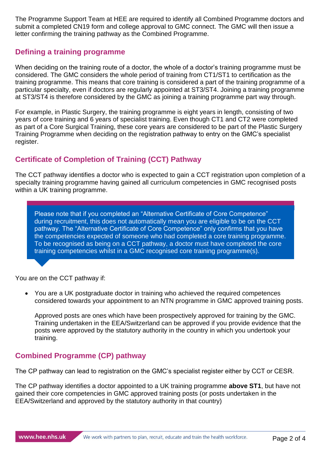The Programme Support Team at HEE are required to identify all Combined Programme doctors and submit a completed CN19 form and college approval to GMC connect. The GMC will then issue a letter confirming the training pathway as the Combined Programme.

#### **Defining a training programme**

When deciding on the training route of a doctor, the whole of a doctor's training programme must be considered. The GMC considers the whole period of training from CT1/ST1 to certification as the training programme. This means that core training is considered a part of the training programme of a particular specialty, even if doctors are regularly appointed at ST3/ST4. Joining a training programme at ST3/ST4 is therefore considered by the GMC as joining a training programme part way through.

For example, in Plastic Surgery, the training programme is eight years in length, consisting of two years of core training and 6 years of specialist training. Even though CT1 and CT2 were completed as part of a Core Surgical Training, these core years are considered to be part of the Plastic Surgery Training Programme when deciding on the registration pathway to entry on the GMC's specialist register.

## **Certificate of Completion of Training (CCT) Pathway**

The CCT pathway identifies a doctor who is expected to gain a CCT registration upon completion of a specialty training programme having gained all curriculum competencies in GMC recognised posts within a UK training programme.

Please note that if you completed an "Alternative Certificate of Core Competence" during recruitment, this does not automatically mean you are eligible to be on the CCT pathway. The "Alternative Certificate of Core Competence" only confirms that you have the competencies expected of someone who had completed a core training programme. To be recognised as being on a CCT pathway, a doctor must have completed the core training competencies whilst in a GMC recognised core training programme(s).

You are on the CCT pathway if:

• You are a UK postgraduate doctor in training who achieved the required competences considered towards your appointment to an NTN programme in GMC approved training posts.

Approved posts are ones which have been prospectively approved for training by the GMC. Training undertaken in the EEA/Switzerland can be approved if you provide evidence that the posts were approved by the statutory authority in the country in which you undertook your training.

## **Combined Programme (CP) pathway**

The CP pathway can lead to registration on the GMC's specialist register either by CCT or CESR.

The CP pathway identifies a doctor appointed to a UK training programme **above ST1**, but have not gained their core competencies in GMC approved training posts (or posts undertaken in the EEA/Switzerland and approved by the statutory authority in that country)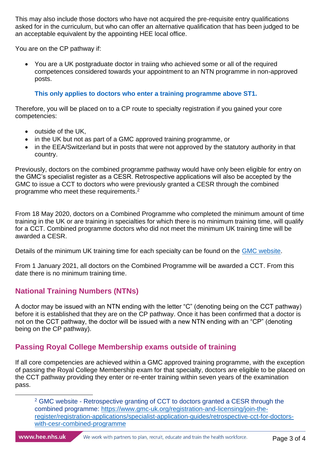This may also include those doctors who have not acquired the pre-requisite entry qualifications asked for in the curriculum, but who can offer an alternative qualification that has been judged to be an acceptable equivalent by the appointing HEE local office.

You are on the CP pathway if:

• You are a UK postgraduate doctor in traiing who achieved some or all of the required competences considered towards your appointment to an NTN programme in non-approved posts.

#### **This only applies to doctors who enter a training programme above ST1.**

Therefore, you will be placed on to a CP route to specialty registration if you gained your core competencies:

- outside of the UK,
- in the UK but not as part of a GMC approved training programme, or
- in the EEA/Switzerland but in posts that were not approved by the statutory authority in that country.

Previously, doctors on the combined programme pathway would have only been eligible for entry on the GMC's specialist register as a CESR. Retrospective applications will also be accepted by the GMC to issue a CCT to doctors who were previously granted a CESR through the combined programme who meet these requirements.<sup>2</sup>

From 18 May 2020, doctors on a Combined Programme who completed the minimum amount of time training in the UK or are training in specialties for which there is no minimum training time, will qualify for a CCT. Combined programme doctors who did not meet the minimum UK training time will be awarded a CESR.

Details of the minimum UK training time for each specialty can be found on the [GMC website.](https://www.gmc-uk.org/registration-and-licensing/join-the-register/registration-applications/specialist-application-guides/minimum-uk-training-time-for-each-specialty)

From 1 January 2021, all doctors on the Combined Programme will be awarded a CCT. From this date there is no minimum training time.

## **National Training Numbers (NTNs)**

A doctor may be issued with an NTN ending with the letter "C" (denoting being on the CCT pathway) before it is established that they are on the CP pathway. Once it has been confirmed that a doctor is not on the CCT pathway, the doctor will be issued with a new NTN ending with an "CP" (denoting being on the CP pathway).

# **Passing Royal College Membership exams outside of training**

If all core competencies are achieved within a GMC approved training programme, with the exception of passing the Royal College Membership exam for that specialty, doctors are eligible to be placed on the CCT pathway providing they enter or re-enter training within seven years of the examination pass.

<sup>2</sup> GMC website - Retrospective granting of CCT to doctors granted a CESR through the combined programme: [https://www.gmc-uk.org/registration-and-licensing/join-the](https://www.gmc-uk.org/registration-and-licensing/join-the-register/registration-applications/specialist-application-guides/retrospective-cct-for-doctors-with-cesr-combined-programme)[register/registration-applications/specialist-application-guides/retrospective-cct-for-doctors](https://www.gmc-uk.org/registration-and-licensing/join-the-register/registration-applications/specialist-application-guides/retrospective-cct-for-doctors-with-cesr-combined-programme)[with-cesr-combined-programme](https://www.gmc-uk.org/registration-and-licensing/join-the-register/registration-applications/specialist-application-guides/retrospective-cct-for-doctors-with-cesr-combined-programme)